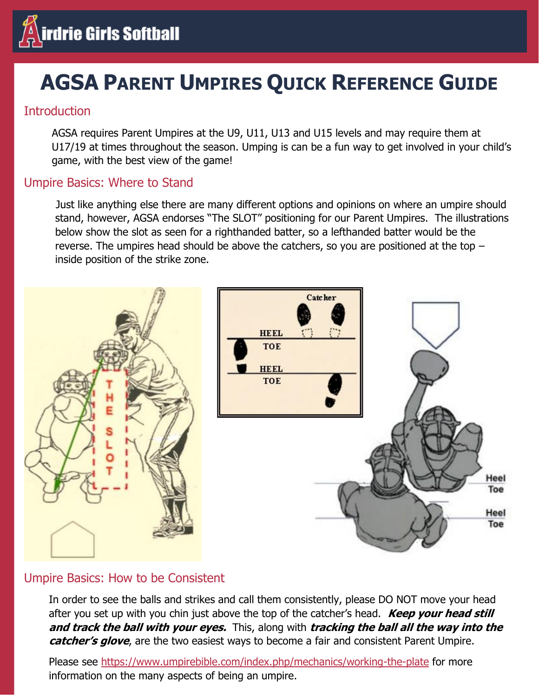

# **AGSA PARENT UMPIRES QUICK REFERENCE GUIDE**

# **Introduction**

AGSA requires Parent Umpires at the U9, U11, U13 and U15 levels and may require them at U17/19 at times throughout the season. Umping is can be a fun way to get involved in your child's game, with the best view of the game!

## Umpire Basics: Where to Stand

Just like anything else there are many different options and opinions on where an umpire should stand, however, AGSA endorses "The SLOT" positioning for our Parent Umpires. The illustrations below show the slot as seen for a righthanded batter, so a lefthanded batter would be the reverse. The umpires head should be above the catchers, so you are positioned at the top – inside position of the strike zone.



# Umpire Basics: How to be Consistent

In order to see the balls and strikes and call them consistently, please DO NOT move your head after you set up with you chin just above the top of the catcher's head. **Keep your head still and track the ball with your eyes.** This, along with **tracking the ball all the way into the**  *catcher's glove*, are the two easiest ways to become a fair and consistent Parent Umpire.

Please see<https://www.umpirebible.com/index.php/mechanics/working-the-plate> for more information on the many aspects of being an umpire.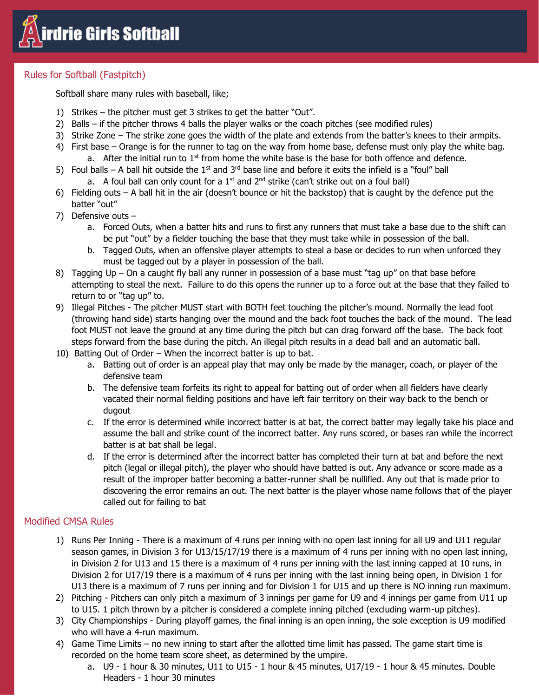

## Rules for Softball (Fastpitch)

Softball share many rules with baseball, like;

- 1) Strikes the pitcher must get 3 strikes to get the batter "Out".
- 2) Balls if the pitcher throws 4 balls the player walks or the coach pitches (see modified rules)
- 3) Strike Zone The strike zone goes the width of the plate and extends from the batter's knees to their armpits.
- 4) First base Orange is for the runner to tag on the way from home base, defense must only play the white bag. a. After the initial run to  $1<sup>st</sup>$  from home the white base is the base for both offence and defence.
- 5) Foul balls A ball hit outside the  $1<sup>st</sup>$  and  $3<sup>rd</sup>$  base line and before it exits the infield is a "foul" ball
	- a. A foul ball can only count for a  $1<sup>st</sup>$  and  $2<sup>nd</sup>$  strike (can't strike out on a foul ball)
- 6) Fielding outs A ball hit in the air (doesn't bounce or hit the backstop) that is caught by the defence put the batter "out"
- 7) Defensive outs
	- a. Forced Outs, when a batter hits and runs to first any runners that must take a base due to the shift can be put "out" by a fielder touching the base that they must take while in possession of the ball.
	- b. Tagged Outs, when an offensive player attempts to steal a base or decides to run when unforced they must be tagged out by a player in possession of the ball.
- 8) Tagging Up On a caught fly ball any runner in possession of a base must "tag up" on that base before attempting to steal the next. Failure to do this opens the runner up to a force out at the base that they failed to return to or "tag up" to.
- 9) Illegal Pitches The pitcher MUST start with BOTH feet touching the pitcher's mound. Normally the lead foot (throwing hand side) starts hanging over the mound and the back foot touches the back of the mound. The lead foot MUST not leave the ground at any time during the pitch but can drag forward off the base. The back foot steps forward from the base during the pitch. An illegal pitch results in a dead ball and an automatic ball.
- 10) Batting Out of Order When the incorrect batter is up to bat.
	- a. Batting out of order is an appeal play that may only be made by the manager, coach, or player of the defensive team
	- b. The defensive team forfeits its right to appeal for batting out of order when all fielders have clearly vacated their normal fielding positions and have left fair territory on their way back to the bench or dugout
	- c. If the error is determined while incorrect batter is at bat, the correct batter may legally take his place and assume the ball and strike count of the incorrect batter. Any runs scored, or bases ran while the incorrect batter is at bat shall be legal.
	- d. If the error is determined after the incorrect batter has completed their turn at bat and before the next pitch (legal or illegal pitch), the player who should have batted is out. Any advance or score made as a result of the improper batter becoming a batter-runner shall be nullified. Any out that is made prior to discovering the error remains an out. The next batter is the player whose name follows that of the player called out for failing to bat

## Modified CMSA Rules

- 1) Runs Per Inning There is a maximum of 4 runs per inning with no open last inning for all U9 and U11 regular season games, in Division 3 for U13/15/17/19 there is a maximum of 4 runs per inning with no open last inning, in Division 2 for U13 and 15 there is a maximum of 4 runs per inning with the last inning capped at 10 runs, in Division 2 for U17/19 there is a maximum of 4 runs per inning with the last inning being open, in Division 1 for U13 there is a maximum of 7 runs per inning and for Division 1 for U15 and up there is NO inning run maximum.
- 2) Pitching Pitchers can only pitch a maximum of 3 innings per game for U9 and 4 innings per game from U11 up to U15. 1 pitch thrown by a pitcher is considered a complete inning pitched (excluding warm-up pitches).
- 3) City Championships During playoff games, the final inning is an open inning, the sole exception is U9 modified who will have a 4-run maximum.
- 4) Game Time Limits no new inning to start after the allotted time limit has passed. The game start time is recorded on the home team score sheet, as determined by the umpire.
	- a. U9 1 hour & 30 minutes, U11 to U15 1 hour & 45 minutes, U17/19 1 hour & 45 minutes. Double Headers - 1 hour 30 minutes